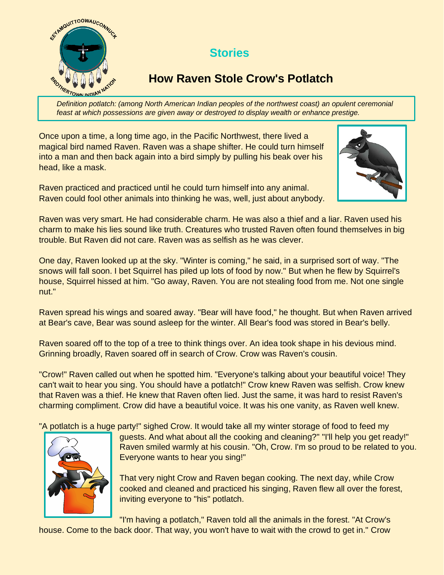

## **Stories**

## **How Raven Stole Crow's Potlatch**

*Definition potlatch: (among North American Indian peoples of the northwest coast) an opulent ceremonial feast at which possessions are given away or destroyed to display wealth or enhance prestige.*

Once upon a time, a long time ago, in the Pacific Northwest, there lived a magical bird named Raven. Raven was a shape shifter. He could turn himself into a man and then back again into a bird simply by pulling his beak over his head, like a mask.

Raven practiced and practiced until he could turn himself into any animal. Raven could fool other animals into thinking he was, well, just about anybody.



Raven was very smart. He had considerable charm. He was also a thief and a liar. Raven used his charm to make his lies sound like truth. Creatures who trusted Raven often found themselves in big trouble. But Raven did not care. Raven was as selfish as he was clever.

One day, Raven looked up at the sky. "Winter is coming," he said, in a surprised sort of way. "The snows will fall soon. I bet Squirrel has piled up lots of food by now." But when he flew by Squirrel's house, Squirrel hissed at him. "Go away, Raven. You are not stealing food from me. Not one single nut."

Raven spread his wings and soared away. "Bear will have food," he thought. But when Raven arrived at Bear's cave, Bear was sound asleep for the winter. All Bear's food was stored in Bear's belly.

Raven soared off to the top of a tree to think things over. An idea took shape in his devious mind. Grinning broadly, Raven soared off in search of Crow. Crow was Raven's cousin.

"Crow!" Raven called out when he spotted him. "Everyone's talking about your beautiful voice! They can't wait to hear you sing. You should have a potlatch!" Crow knew Raven was selfish. Crow knew that Raven was a thief. He knew that Raven often lied. Just the same, it was hard to resist Raven's charming compliment. Crow did have a beautiful voice. It was his one vanity, as Raven well knew.

"A potlatch is a huge party!" sighed Crow. It would take all my winter storage of food to feed my



guests. And what about all the cooking and cleaning?" "I'll help you get ready!" Raven smiled warmly at his cousin. "Oh, Crow. I'm so proud to be related to you. Everyone wants to hear you sing!"

That very night Crow and Raven began cooking. The next day, while Crow cooked and cleaned and practiced his singing, Raven flew all over the forest, inviting everyone to "his" potlatch.

"I'm having a potlatch," Raven told all the animals in the forest. "At Crow's

house. Come to the back door. That way, you won't have to wait with the crowd to get in." Crow